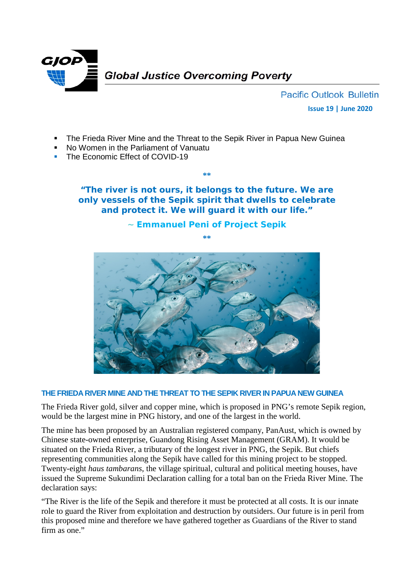

**Pacific Outlook Bulletin Issue 19 | June 2020**

- The Frieda River Mine and the Threat to the Sepik River in Papua New Guinea
- No Women in the Parliament of Vanuatu
- The Economic Effect of COVID-19

**"The river is not ours, it belongs to the future. We are only vessels of the Sepik spirit that dwells to celebrate and protect it. We will guard it with our life."** 

**\*\***

# **~ Emmanuel Peni of Project Sepik \*\***



### **THE FRIEDA RIVER MINE AND THE THREAT TO THE SEPIK RIVER IN PAPUA NEW GUINEA**

The Frieda River gold, silver and copper mine, which is proposed in PNG's remote Sepik region, would be the largest mine in PNG history, and one of the largest in the world.

The mine has been proposed by an Australian registered company, PanAust, which is owned by Chinese state-owned enterprise, Guandong Rising Asset Management (GRAM). It would be situated on the Frieda River, a tributary of the longest river in PNG, the Sepik. But chiefs representing communities along the Sepik have called for this mining project to be stopped. Twenty-eight *haus tambarans*, the village spiritual, cultural and political meeting houses, have issued the Supreme Sukundimi Declaration calling for a total ban on the Frieda River Mine. The declaration says:

"The River is the life of the Sepik and therefore it must be protected at all costs. It is our innate role to guard the River from exploitation and destruction by outsiders. Our future is in peril from this proposed mine and therefore we have gathered together as Guardians of the River to stand firm as one."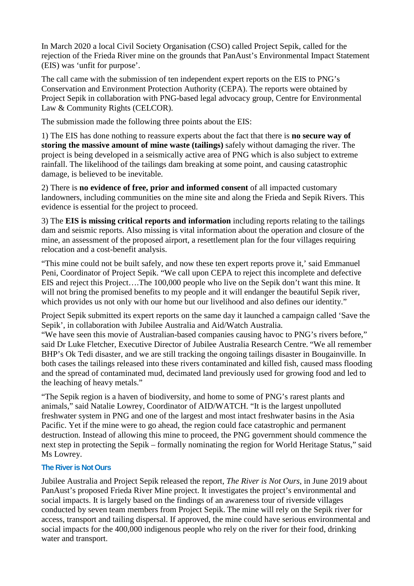In March 2020 a local Civil Society Organisation (CSO) called Project Sepik, called for the rejection of the Frieda River mine on the grounds that PanAust's Environmental Impact Statement (EIS) was 'unfit for purpose'.

The call came with the submission of ten independent expert reports on the EIS to PNG's Conservation and Environment Protection Authority (CEPA). The reports were obtained by Project Sepik in collaboration with PNG-based legal advocacy group, Centre for Environmental Law & Community Rights (CELCOR).

The submission made the following three points about the EIS:

1) The EIS has done nothing to reassure experts about the fact that there is **no secure way of storing the massive amount of mine waste (tailings)** safely without damaging the river. The project is being developed in a seismically active area of PNG which is also subject to extreme rainfall. The likelihood of the tailings dam breaking at some point, and causing catastrophic damage, is believed to be inevitable.

2) There is **no evidence of free, prior and informed consent** of all impacted customary landowners, including communities on the mine site and along the Frieda and Sepik Rivers. This evidence is essential for the project to proceed.

3) The **EIS is missing critical reports and information** including reports relating to the tailings dam and seismic reports. Also missing is vital information about the operation and closure of the mine, an assessment of the proposed airport, a resettlement plan for the four villages requiring relocation and a cost-benefit analysis.

"This mine could not be built safely, and now these ten expert reports prove it,' said Emmanuel Peni, Coordinator of Project Sepik. "We call upon CEPA to reject this incomplete and defective EIS and reject this Project….The 100,000 people who live on the Sepik don't want this mine. It will not bring the promised benefits to my people and it will endanger the beautiful Sepik river, which provides us not only with our home but our livelihood and also defines our identity."

Project Sepik submitted its expert reports on the same day it launched a campaign called ['Save the](http://savethesepik.org/)  [Sepik'](http://savethesepik.org/), in collaboration with [Jubilee](https://www.jubileeaustralia.org/) Australia and Aid/Watch Australia.

"We have seen this movie of Australian-based companies causing havoc to PNG's rivers before," said Dr Luke Fletcher, Executive Director of Jubilee Australia Research Centre. "We all remember BHP's Ok Tedi disaster, and we are still tracking the ongoing tailings disaster in Bougainville. In both cases the tailings released into these rivers contaminated and killed fish, caused mass flooding and the spread of contaminated mud, decimated land previously used for growing food and led to the leaching of heavy metals."

"The Sepik region is a haven of biodiversity, and home to some of PNG's rarest plants and animals," said Natalie Lowrey, Coordinator of AID/WATCH. "It is the largest unpolluted freshwater system in PNG and one of the largest and most intact freshwater basins in the Asia Pacific. Yet if the mine were to go ahead, the region could face catastrophic and permanent destruction. Instead of allowing this mine to proceed, the PNG government should commence the next step in protecting the Sepik – formally nominating the region for World Heritage Status," said Ms Lowrey.

### **The River is Not Ours**

Jubilee Australia and Project Sepik released the report, *The River is Not Ours,* in June 2019 about PanAust's proposed Frieda River Mine project. It investigates the project's environmental and social impacts. It is largely based on the findings of an awareness tour of riverside villages conducted by seven team members from Project Sepik. The mine will rely on the Sepik river for access, transport and tailing dispersal. If approved, the mine could have serious environmental and social impacts for the 400,000 indigenous people who rely on the river for their food, drinking water and transport.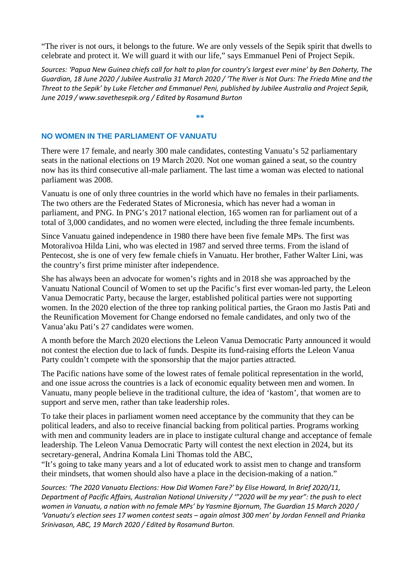"The river is not ours, it belongs to the future. We are only vessels of the Sepik spirit that dwells to celebrate and protect it. We will guard it with our life," says Emmanuel Peni of Project Sepik.

*Sources: 'Papua New Guinea chiefs call for halt to plan for country's largest ever mine' by Ben Doherty, The Guardian, 18 June 2020 / Jubilee Australia 31 March 2020 / 'The River is Not Ours: The Frieda Mine and the Threat to the Sepik' by Luke Fletcher and Emmanuel Peni, published by Jubilee Australia and Project Sepik, June 2019 [/ www.savethesepik.org](http://www.savethesepik.org/) / Edited by Rosamund Burton*

#### **\*\***

# **NO WOMEN IN THE PARLIAMENT OF VANUATU**

There were 17 female, and nearly 300 male candidates, contesting Vanuatu's 52 parliamentary seats in the national elections on 19 March 2020. Not one woman gained a seat, so the country now has its third consecutive all-male parliament. The last time a woman was elected to national parliament was 2008.

Vanuatu is one of only three countries in the world which have no females in their parliaments. The two others are the Federated States of Micronesia, which has never had a woman in parliament, and PNG. In PNG's 2017 national election, 165 women ran for parliament out of a total of 3,000 candidates, and no women were elected, including the three female incumbents.

Since Vanuatu gained independence in 1980 there have been five female MPs. The first was Motoralivoa Hilda Lini, who was elected in 1987 and served three terms. From the island of Pentecost, she is one of very few female chiefs in Vanuatu. Her brother, Father Walter Lini, was the country's first prime minister after independence.

She has always been an advocate for women's rights and in 2018 she was approached by the Vanuatu National Council of Women to set up the Pacific's first ever woman-led party, the Leleon Vanua Democratic Party, because the larger, established political parties were not supporting women. In the 2020 election of the three top ranking political parties, the Graon mo Jastis Pati and the Reunification Movement for Change endorsed no female candidates, and only two of the Vanua'aku Pati's 27 candidates were women.

A month before the March 2020 elections the Leleon Vanua Democratic Party announced it would not contest the election due to lack of funds. Despite its fund-raising efforts the Leleon Vanua Party couldn't compete with the sponsorship that the major parties attracted.

The Pacific nations have some of the lowest rates of female political representation in the world, and one issue across the countries is a lack of economic equality between men and women. In Vanuatu, many people believe in the traditional culture, the idea of 'kastom', that women are to support and serve men, rather than take leadership roles.

To take their places in parliament women need acceptance by the community that they can be political leaders, and also to receive financial backing from political parties. Programs working with men and community leaders are in place to instigate cultural change and acceptance of female leadership. The Leleon Vanua Democratic Party will contest the next election in 2024, but its secretary-general, Andrina Komala Lini Thomas told the ABC,

"It's going to take many years and a lot of educated work to assist men to change and transform their mindsets, that women should also have a place in the decision-making of a nation."

*Sources: 'The 2020 Vanuatu Elections: How Did Women Fare?' by Elise Howard, In Brief 2020/11, Department of Pacific Affairs, Australian National University / '"2020 will be my year": the push to elect women in Vanuatu, a nation with no female MPs' by Yasmine Bjornum, The Guardian 15 March 2020 / 'Vanuatu's election sees 17 women contest seats – again almost 300 men' by Jordan Fennell and Prianka Srinivasan, ABC, 19 March 2020 / Edited by Rosamund Burton.*